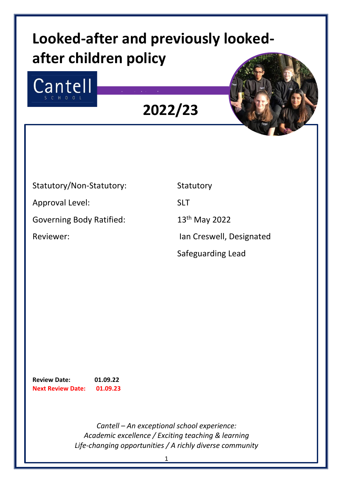# **Looked-after and previously lookedafter children policy**

Insert picture here



**2022/23**



# Statutory/Non-Statutory: Statutory

Approval Level: SLT

Governing Body Ratified: 13<sup>th</sup> May 2022

Reviewer: The Creswell, Designated

Safeguarding Lead

**Review Date: 01.09.22 Next Review Date: 01.09.23**

> *Cantell – An exceptional school experience: Academic excellence / Exciting teaching & learning Life-changing opportunities / A richly diverse community*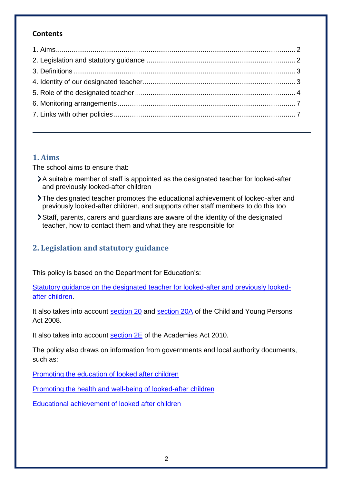### **Contents**

## <span id="page-1-0"></span>**1. Aims**

The school aims to ensure that:

- A suitable member of staff is appointed as the designated teacher for looked-after and previously looked-after children
- The designated teacher promotes the educational achievement of looked-after and previously looked-after children, and supports other staff members to do this too
- Staff, parents, carers and guardians are aware of the identity of the designated teacher, how to contact them and what they are responsible for

# <span id="page-1-1"></span>**2. Legislation and statutory guidance**

This policy is based on the Department for Education's:

[Statutory guidance on the designated teacher for looked-after and previously looked](https://www.gov.uk/government/publications/designated-teacher-for-looked-after-children)[after children.](https://www.gov.uk/government/publications/designated-teacher-for-looked-after-children)

It also takes into account [section 20](http://www.legislation.gov.uk/ukpga/2008/23/section/20) and [section 20A](http://www.legislation.gov.uk/ukpga/2008/23/section/20A) of the Child and Young Persons Act 2008.

It also takes into account [section 2E](http://www.legislation.gov.uk/ukpga/2010/32/section/2E) of the Academies Act 2010.

The policy also draws on information from governments and local authority documents, such as:

[Promoting the education of looked after children](https://www.gov.uk/government/publications/promoting-the-education-of-looked-after-children)

[Promoting the health and well-being of looked-after children](https://assets.publishing.service.gov.uk/government/uploads/system/uploads/attachment_data/file/413368/Promoting_the_health_and_well-being_of_looked-after_children.pdf)

[Educational achievement of looked after children](https://assets.publishing.service.gov.uk/government/uploads/system/uploads/attachment_data/file/276468/educational_achievement_of_looked_after_children.pdf)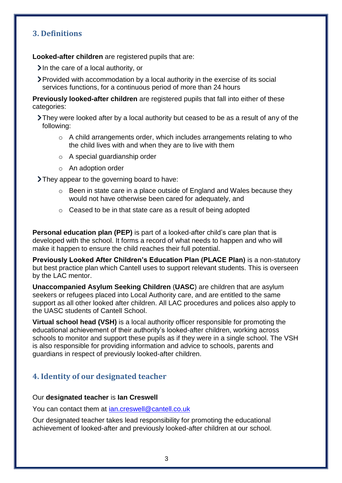## <span id="page-2-0"></span>**3. Definitions**

**Looked-after children** are registered pupils that are:

 $\sum$  In the care of a local authority, or

Provided with accommodation by a local authority in the exercise of its social services functions, for a continuous period of more than 24 hours

**Previously looked-after children** are registered pupils that fall into either of these categories:

- They were looked after by a local authority but ceased to be as a result of any of the following:
	- o A child arrangements order, which includes arrangements relating to who the child lives with and when they are to live with them
	- o A special guardianship order
	- o An adoption order

> They appear to the governing board to have:

- o Been in state care in a place outside of England and Wales because they would not have otherwise been cared for adequately, and
- o Ceased to be in that state care as a result of being adopted

**Personal education plan (PEP)** is part of a looked-after child's care plan that is developed with the school. It forms a record of what needs to happen and who will make it happen to ensure the child reaches their full potential.

**Previously Looked After Children's Education Plan (PLACE Plan)** is a non-statutory but best practice plan which Cantell uses to support relevant students. This is overseen by the LAC mentor.

**Unaccompanied Asylum Seeking Children** (**UASC**) are children that are asylum seekers or refugees placed into Local Authority care, and are entitled to the same support as all other looked after children. All LAC procedures and polices also apply to the UASC students of Cantell School.

**Virtual school head (VSH)** is a local authority officer responsible for promoting the educational achievement of their authority's looked-after children, working across schools to monitor and support these pupils as if they were in a single school. The VSH is also responsible for providing information and advice to schools, parents and guardians in respect of previously looked-after children.

## <span id="page-2-1"></span>**4. Identity of our designated teacher**

#### Our **designated teacher** is **Ian Creswell**

You can contact them at [ian.creswell@cantell.co.uk](mailto:ian.creswell@cantell.co.uk)

Our designated teacher takes lead responsibility for promoting the educational achievement of looked-after and previously looked-after children at our school.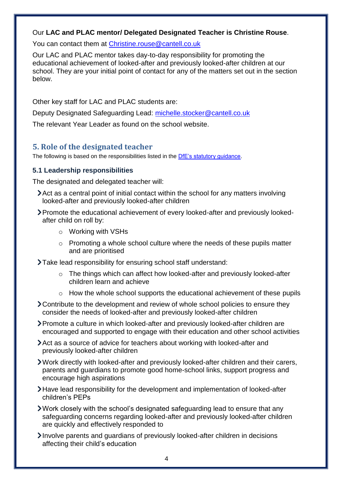#### Our **LAC and PLAC mentor/ Delegated Designated Teacher is Christine Rouse**.

You can contact them at [Christine.rouse@cantell.co.uk](mailto:Christine.rouse@cantell.co.uk)

Our LAC and PLAC mentor takes day-to-day responsibility for promoting the educational achievement of looked-after and previously looked-after children at our school. They are your initial point of contact for any of the matters set out in the section below.

Other key staff for LAC and PLAC students are:

Deputy Designated Safeguarding Lead: [michelle.stocker@cantell.co.uk](mailto:michelle.stocker@cantell.co.uk)

The relevant Year Leader as found on the school website.

## <span id="page-3-0"></span>**5. Role of the designated teacher**

The following is based on the responsibilities listed in the [DfE's statutory guidance.](https://www.gov.uk/government/publications/designated-teacher-for-looked-after-children)

#### **5.1 Leadership responsibilities**

The designated and delegated teacher will:

- Act as a central point of initial contact within the school for any matters involving looked-after and previously looked-after children
- Promote the educational achievement of every looked-after and previously lookedafter child on roll by:
	- o Working with VSHs
	- o Promoting a whole school culture where the needs of these pupils matter and are prioritised

Take lead responsibility for ensuring school staff understand:

- o The things which can affect how looked-after and previously looked-after children learn and achieve
- o How the whole school supports the educational achievement of these pupils
- Contribute to the development and review of whole school policies to ensure they consider the needs of looked-after and previously looked-after children
- Promote a culture in which looked-after and previously looked-after children are encouraged and supported to engage with their education and other school activities
- Act as a source of advice for teachers about working with looked-after and previously looked-after children
- Work directly with looked-after and previously looked-after children and their carers, parents and guardians to promote good home-school links, support progress and encourage high aspirations
- Have lead responsibility for the development and implementation of looked-after children's PEPs
- Work closely with the school's designated safeguarding lead to ensure that any safeguarding concerns regarding looked-after and previously looked-after children are quickly and effectively responded to
- Involve parents and quardians of previously looked-after children in decisions affecting their child's education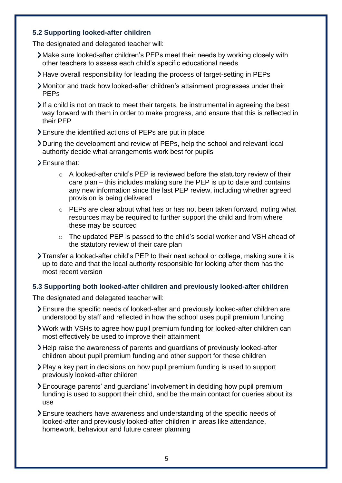#### **5.2 Supporting looked-after children**

The designated and delegated teacher will:

- Make sure looked-after children's PEPs meet their needs by working closely with other teachers to assess each child's specific educational needs
- Have overall responsibility for leading the process of target-setting in PEPs
- Monitor and track how looked-after children's attainment progresses under their PEPs
- $\blacktriangleright$  If a child is not on track to meet their targets, be instrumental in agreeing the best way forward with them in order to make progress, and ensure that this is reflected in their PEP
- Ensure the identified actions of PEPs are put in place
- During the development and review of PEPs, help the school and relevant local authority decide what arrangements work best for pupils
- > Ensure that:
	- o A looked-after child's PEP is reviewed before the statutory review of their care plan – this includes making sure the PEP is up to date and contains any new information since the last PEP review, including whether agreed provision is being delivered
	- o PEPs are clear about what has or has not been taken forward, noting what resources may be required to further support the child and from where these may be sourced
	- o The updated PEP is passed to the child's social worker and VSH ahead of the statutory review of their care plan
- Transfer a looked-after child's PEP to their next school or college, making sure it is up to date and that the local authority responsible for looking after them has the most recent version

#### **5.3 Supporting both looked-after children and previously looked-after children**

The designated and delegated teacher will:

- Ensure the specific needs of looked-after and previously looked-after children are understood by staff and reflected in how the school uses pupil premium funding
- Work with VSHs to agree how pupil premium funding for looked-after children can most effectively be used to improve their attainment
- Help raise the awareness of parents and guardians of previously looked-after children about pupil premium funding and other support for these children
- Play a key part in decisions on how pupil premium funding is used to support previously looked-after children
- Encourage parents' and guardians' involvement in deciding how pupil premium funding is used to support their child, and be the main contact for queries about its use
- Ensure teachers have awareness and understanding of the specific needs of looked-after and previously looked-after children in areas like attendance, homework, behaviour and future career planning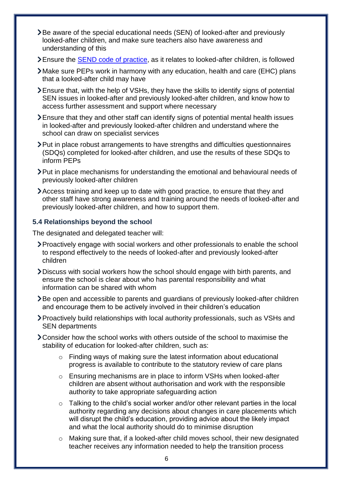- Be aware of the special educational needs (SEN) of looked-after and previously looked-after children, and make sure teachers also have awareness and understanding of this
- Ensure the [SEND code of practice,](https://www.gov.uk/government/publications/send-code-of-practice-0-to-25) as it relates to looked-after children, is followed
- Make sure PEPs work in harmony with any education, health and care (EHC) plans that a looked-after child may have
- Ensure that, with the help of VSHs, they have the skills to identify signs of potential SEN issues in looked-after and previously looked-after children, and know how to access further assessment and support where necessary
- Ensure that they and other staff can identify signs of potential mental health issues in looked-after and previously looked-after children and understand where the school can draw on specialist services
- Put in place robust arrangements to have strengths and difficulties questionnaires (SDQs) completed for looked-after children, and use the results of these SDQs to inform PEPs
- Put in place mechanisms for understanding the emotional and behavioural needs of previously looked-after children
- Access training and keep up to date with good practice, to ensure that they and other staff have strong awareness and training around the needs of looked-after and previously looked-after children, and how to support them.

#### **5.4 Relationships beyond the school**

The designated and delegated teacher will:

- Proactively engage with social workers and other professionals to enable the school to respond effectively to the needs of looked-after and previously looked-after children
- Discuss with social workers how the school should engage with birth parents, and ensure the school is clear about who has parental responsibility and what information can be shared with whom
- Be open and accessible to parents and guardians of previously looked-after children and encourage them to be actively involved in their children's education
- Proactively build relationships with local authority professionals, such as VSHs and SEN departments
- Consider how the school works with others outside of the school to maximise the stability of education for looked-after children, such as:
	- o Finding ways of making sure the latest information about educational progress is available to contribute to the statutory review of care plans
	- o Ensuring mechanisms are in place to inform VSHs when looked-after children are absent without authorisation and work with the responsible authority to take appropriate safeguarding action
	- o Talking to the child's social worker and/or other relevant parties in the local authority regarding any decisions about changes in care placements which will disrupt the child's education, providing advice about the likely impact and what the local authority should do to minimise disruption
	- o Making sure that, if a looked-after child moves school, their new designated teacher receives any information needed to help the transition process